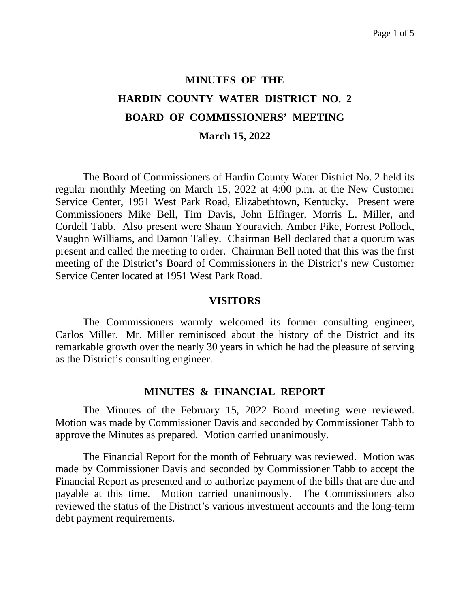# **MINUTES OF THE HARDIN COUNTY WATER DISTRICT NO. 2 BOARD OF COMMISSIONERS' MEETING March 15, 2022**

The Board of Commissioners of Hardin County Water District No. 2 held its regular monthly Meeting on March 15, 2022 at 4:00 p.m. at the New Customer Service Center, 1951 West Park Road, Elizabethtown, Kentucky. Present were Commissioners Mike Bell, Tim Davis, John Effinger, Morris L. Miller, and Cordell Tabb. Also present were Shaun Youravich, Amber Pike, Forrest Pollock, Vaughn Williams, and Damon Talley. Chairman Bell declared that a quorum was present and called the meeting to order. Chairman Bell noted that this was the first meeting of the District's Board of Commissioners in the District's new Customer Service Center located at 1951 West Park Road.

#### **VISITORS**

The Commissioners warmly welcomed its former consulting engineer, Carlos Miller. Mr. Miller reminisced about the history of the District and its remarkable growth over the nearly 30 years in which he had the pleasure of serving as the District's consulting engineer.

#### **MINUTES & FINANCIAL REPORT**

The Minutes of the February 15, 2022 Board meeting were reviewed. Motion was made by Commissioner Davis and seconded by Commissioner Tabb to approve the Minutes as prepared. Motion carried unanimously.

The Financial Report for the month of February was reviewed. Motion was made by Commissioner Davis and seconded by Commissioner Tabb to accept the Financial Report as presented and to authorize payment of the bills that are due and payable at this time. Motion carried unanimously. The Commissioners also reviewed the status of the District's various investment accounts and the long-term debt payment requirements.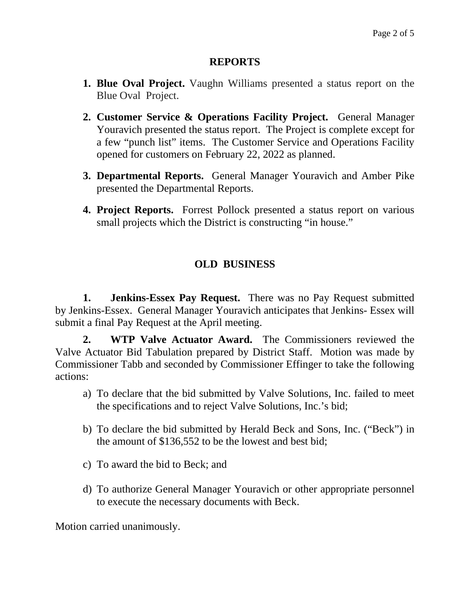### **REPORTS**

- **1. Blue Oval Project.** Vaughn Williams presented a status report on the Blue Oval Project.
- **2. Customer Service & Operations Facility Project.** General Manager Youravich presented the status report. The Project is complete except for a few "punch list" items. The Customer Service and Operations Facility opened for customers on February 22, 2022 as planned.
- **3. Departmental Reports.** General Manager Youravich and Amber Pike presented the Departmental Reports.
- **4. Project Reports.** Forrest Pollock presented a status report on various small projects which the District is constructing "in house."

## **OLD BUSINESS**

**1. Jenkins-Essex Pay Request.** There was no Pay Request submitted by Jenkins-Essex. General Manager Youravich anticipates that Jenkins- Essex will submit a final Pay Request at the April meeting.

**2. WTP Valve Actuator Award.** The Commissioners reviewed the Valve Actuator Bid Tabulation prepared by District Staff. Motion was made by Commissioner Tabb and seconded by Commissioner Effinger to take the following actions:

- a) To declare that the bid submitted by Valve Solutions, Inc. failed to meet the specifications and to reject Valve Solutions, Inc.'s bid;
- b) To declare the bid submitted by Herald Beck and Sons, Inc. ("Beck") in the amount of \$136,552 to be the lowest and best bid;
- c) To award the bid to Beck; and
- d) To authorize General Manager Youravich or other appropriate personnel to execute the necessary documents with Beck.

Motion carried unanimously.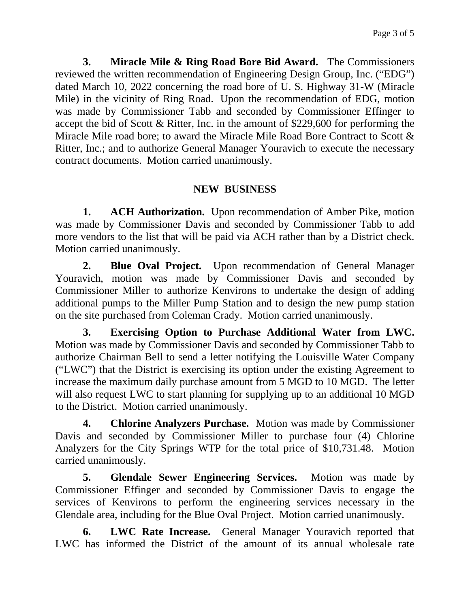**3. Miracle Mile & Ring Road Bore Bid Award.** The Commissioners reviewed the written recommendation of Engineering Design Group, Inc. ("EDG") dated March 10, 2022 concerning the road bore of U. S. Highway 31-W (Miracle Mile) in the vicinity of Ring Road. Upon the recommendation of EDG, motion was made by Commissioner Tabb and seconded by Commissioner Effinger to accept the bid of Scott & Ritter, Inc. in the amount of \$229,600 for performing the Miracle Mile road bore; to award the Miracle Mile Road Bore Contract to Scott & Ritter, Inc.; and to authorize General Manager Youravich to execute the necessary contract documents. Motion carried unanimously.

## **NEW BUSINESS**

**1. ACH Authorization.** Upon recommendation of Amber Pike, motion was made by Commissioner Davis and seconded by Commissioner Tabb to add more vendors to the list that will be paid via ACH rather than by a District check. Motion carried unanimously.

**2. Blue Oval Project.** Upon recommendation of General Manager Youravich, motion was made by Commissioner Davis and seconded by Commissioner Miller to authorize Kenvirons to undertake the design of adding additional pumps to the Miller Pump Station and to design the new pump station on the site purchased from Coleman Crady. Motion carried unanimously.

**3. Exercising Option to Purchase Additional Water from LWC.**  Motion was made by Commissioner Davis and seconded by Commissioner Tabb to authorize Chairman Bell to send a letter notifying the Louisville Water Company ("LWC") that the District is exercising its option under the existing Agreement to increase the maximum daily purchase amount from 5 MGD to 10 MGD. The letter will also request LWC to start planning for supplying up to an additional 10 MGD to the District.Motion carried unanimously.

**4. Chlorine Analyzers Purchase.** Motion was made by Commissioner Davis and seconded by Commissioner Miller to purchase four (4) Chlorine Analyzers for the City Springs WTP for the total price of \$10,731.48.Motion carried unanimously.

**5. Glendale Sewer Engineering Services.** Motion was made by Commissioner Effinger and seconded by Commissioner Davis to engage the services of Kenvirons to perform the engineering services necessary in the Glendale area, including for the Blue Oval Project.Motion carried unanimously.

**6. LWC Rate Increase.** General Manager Youravich reported that LWC has informed the District of the amount of its annual wholesale rate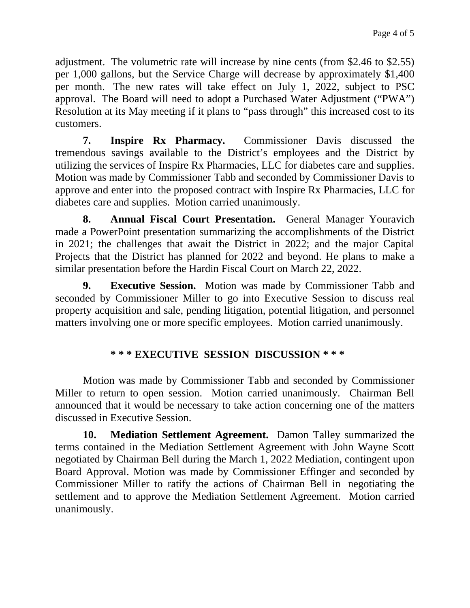adjustment. The volumetric rate will increase by nine cents (from \$2.46 to \$2.55) per 1,000 gallons, but the Service Charge will decrease by approximately \$1,400 per month. The new rates will take effect on July 1, 2022, subject to PSC approval. The Board will need to adopt a Purchased Water Adjustment ("PWA") Resolution at its May meeting if it plans to "pass through" this increased cost to its customers.

**7. Inspire Rx Pharmacy.** Commissioner Davis discussed the tremendous savings available to the District's employees and the District by utilizing the services of Inspire Rx Pharmacies, LLC for diabetes care and supplies. Motion was made by Commissioner Tabb and seconded by Commissioner Davis to approve and enter into the proposed contract with Inspire Rx Pharmacies, LLC for diabetes care and supplies.Motion carried unanimously.

**8. Annual Fiscal Court Presentation.** General Manager Youravich made a PowerPoint presentation summarizing the accomplishments of the District in 2021; the challenges that await the District in 2022; and the major Capital Projects that the District has planned for 2022 and beyond. He plans to make a similar presentation before the Hardin Fiscal Court on March 22, 2022.

**9. Executive Session.** Motion was made by Commissioner Tabb and seconded by Commissioner Miller to go into Executive Session to discuss real property acquisition and sale, pending litigation, potential litigation, and personnel matters involving one or more specific employees. Motion carried unanimously.

# **\* \* \* EXECUTIVE SESSION DISCUSSION \* \* \***

Motion was made by Commissioner Tabb and seconded by Commissioner Miller to return to open session. Motion carried unanimously. Chairman Bell announced that it would be necessary to take action concerning one of the matters discussed in Executive Session.

**10. Mediation Settlement Agreement.** Damon Talley summarized the terms contained in the Mediation Settlement Agreement with John Wayne Scott negotiated by Chairman Bell during the March 1, 2022 Mediation, contingent upon Board Approval. Motion was made by Commissioner Effinger and seconded by Commissioner Miller to ratify the actions of Chairman Bell in negotiating the settlement and to approve the Mediation Settlement Agreement.Motion carried unanimously.